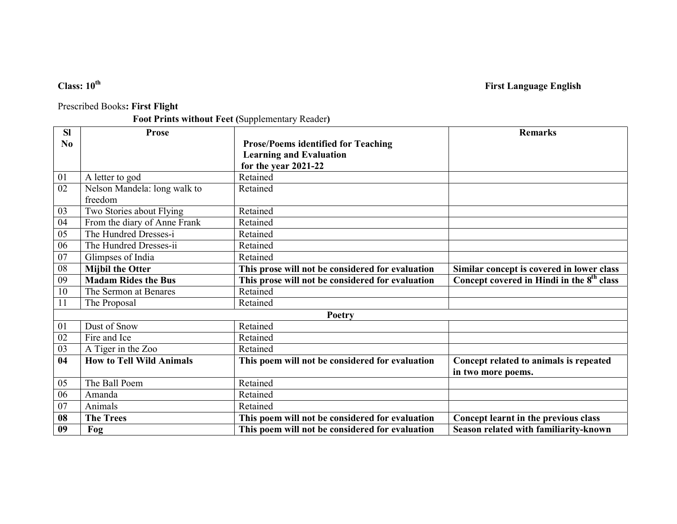# Class:  $10^{th}$  First Language English

### Prescribed Books: First Flight

## Foot Prints without Feet (Supplementary Reader)

| <b>SI</b> | <b>Prose</b>                    |                                                  | <b>Remarks</b>                                        |
|-----------|---------------------------------|--------------------------------------------------|-------------------------------------------------------|
| No        |                                 | <b>Prose/Poems identified for Teaching</b>       |                                                       |
|           |                                 | <b>Learning and Evaluation</b>                   |                                                       |
|           |                                 | for the year 2021-22                             |                                                       |
| 01        | A letter to god                 | Retained                                         |                                                       |
| 02        | Nelson Mandela: long walk to    | Retained                                         |                                                       |
|           | freedom                         |                                                  |                                                       |
| 03        | Two Stories about Flying        | Retained                                         |                                                       |
| 04        | From the diary of Anne Frank    | Retained                                         |                                                       |
| 05        | The Hundred Dresses-i           | Retained                                         |                                                       |
| 06        | The Hundred Dresses-ii          | Retained                                         |                                                       |
| 07        | Glimpses of India               | Retained                                         |                                                       |
| 08        | <b>Mijbil the Otter</b>         | This prose will not be considered for evaluation | Similar concept is covered in lower class             |
| 09        | <b>Madam Rides the Bus</b>      | This prose will not be considered for evaluation | Concept covered in Hindi in the 8 <sup>th</sup> class |
| 10        | The Sermon at Benares           | Retained                                         |                                                       |
| 11        | The Proposal                    | Retained                                         |                                                       |
|           |                                 | Poetry                                           |                                                       |
| 01        | Dust of Snow                    | Retained                                         |                                                       |
| 02        | Fire and Ice                    | Retained                                         |                                                       |
| 03        | A Tiger in the Zoo              | Retained                                         |                                                       |
| 04        | <b>How to Tell Wild Animals</b> | This poem will not be considered for evaluation  | Concept related to animals is repeated                |
|           |                                 |                                                  | in two more poems.                                    |
| 05        | The Ball Poem                   | Retained                                         |                                                       |
| 06        | Amanda                          | Retained                                         |                                                       |
| 07        | Animals                         | Retained                                         |                                                       |
| 08        | <b>The Trees</b>                | This poem will not be considered for evaluation  | Concept learnt in the previous class                  |
| 09        | Fog                             | This poem will not be considered for evaluation  | Season related with familiarity-known                 |